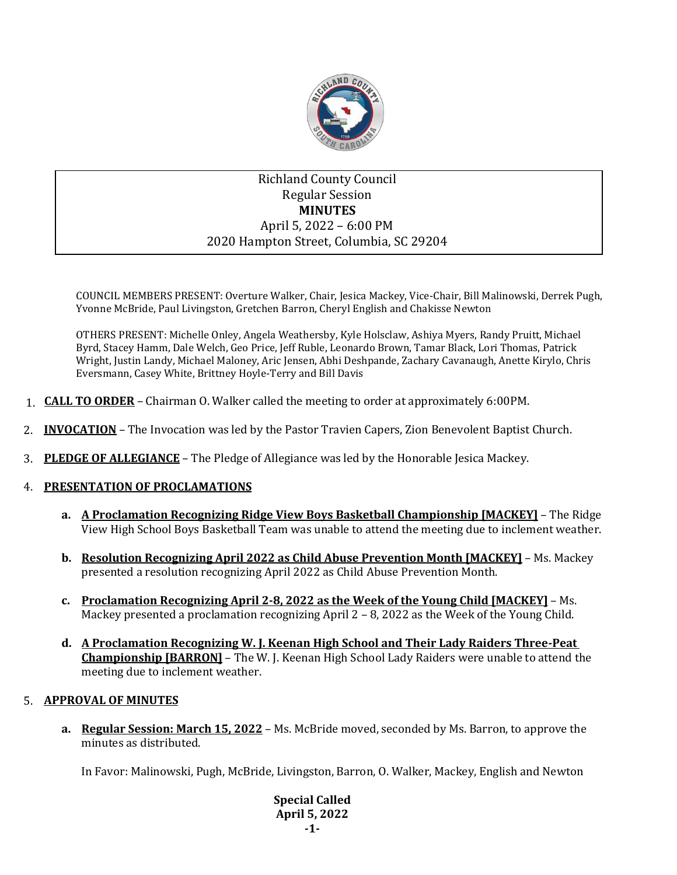

# Richland County Council Regular Session **MINUTES** April 5, 2022 – 6:00 PM 2020 Hampton Street, Columbia, SC 29204

COUNCIL MEMBERS PRESENT: Overture Walker, Chair, Jesica Mackey, Vice-Chair, Bill Malinowski, Derrek Pugh, Yvonne McBride, Paul Livingston, Gretchen Barron, Cheryl English and Chakisse Newton

OTHERS PRESENT: Michelle Onley, Angela Weathersby, Kyle Holsclaw, Ashiya Myers, Randy Pruitt, Michael Byrd, Stacey Hamm, Dale Welch, Geo Price, Jeff Ruble, Leonardo Brown, Tamar Black, Lori Thomas, Patrick Wright, Justin Landy, Michael Maloney, Aric Jensen, Abhi Deshpande, Zachary Cavanaugh, Anette Kirylo, Chris Eversmann, Casey White, Brittney Hoyle-Terry and Bill Davis

- 1. **CALL TO ORDER** Chairman O. Walker called the meeting to order at approximately 6:00PM.
- 2. **INVOCATION** The Invocation was led by the Pastor Travien Capers, Zion Benevolent Baptist Church.
- 3. **PLEDGE OF ALLEGIANCE** The Pledge of Allegiance was led by the Honorable Jesica Mackey.

## 4. **PRESENTATION OF PROCLAMATIONS**

- **a. A Proclamation Recognizing Ridge View Boys Basketball Championship [MACKEY]** The Ridge View High School Boys Basketball Team was unable to attend the meeting due to inclement weather.
- **b. Resolution Recognizing April 2022 as Child Abuse Prevention Month [MACKEY]** Ms. Mackey presented a resolution recognizing April 2022 as Child Abuse Prevention Month.
- **c. Proclamation Recognizing April 2-8, 2022 as the Week of the Young Child [MACKEY]** Ms. Mackey presented a proclamation recognizing April 2 – 8, 2022 as the Week of the Young Child.
- **d. A Proclamation Recognizing W. J. Keenan High School and Their Lady Raiders Three-Peat Championship [BARRON]** – The W. J. Keenan High School Lady Raiders were unable to attend the meeting due to inclement weather.

## 5. **APPROVAL OF MINUTES**

**a. Regular Session: March 15, 2022** – Ms. McBride moved, seconded by Ms. Barron, to approve the minutes as distributed.

In Favor: Malinowski, Pugh, McBride, Livingston, Barron, O. Walker, Mackey, English and Newton

**Special Called April 5, 2022 -1-**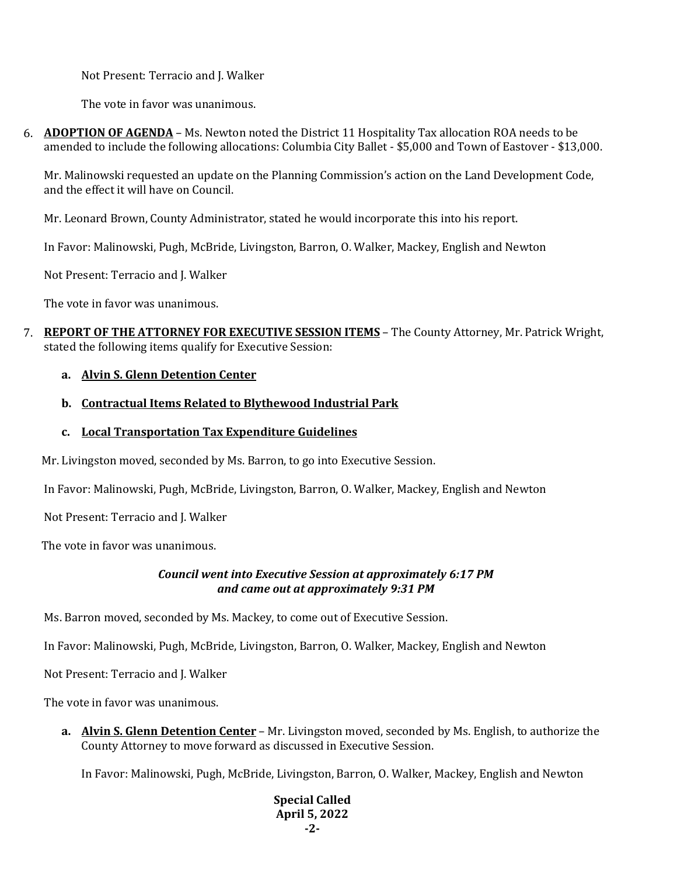Not Present: Terracio and J. Walker

The vote in favor was unanimous.

6. **ADOPTION OF AGENDA** – Ms. Newton noted the District 11 Hospitality Tax allocation ROA needs to be amended to include the following allocations: Columbia City Ballet - \$5,000 and Town of Eastover - \$13,000.

Mr. Malinowski requested an update on the Planning Commission's action on the Land Development Code, and the effect it will have on Council.

Mr. Leonard Brown, County Administrator, stated he would incorporate this into his report.

In Favor: Malinowski, Pugh, McBride, Livingston, Barron, O. Walker, Mackey, English and Newton

Not Present: Terracio and J. Walker

The vote in favor was unanimous.

7. **REPORT OF THE ATTORNEY FOR EXECUTIVE SESSION ITEMS** – The County Attorney, Mr. Patrick Wright, stated the following items qualify for Executive Session:

## **a. Alvin S. Glenn Detention Center**

## **b. Contractual Items Related to Blythewood Industrial Park**

**c. Local Transportation Tax Expenditure Guidelines**

Mr. Livingston moved, seconded by Ms. Barron, to go into Executive Session.

In Favor: Malinowski, Pugh, McBride, Livingston, Barron, O. Walker, Mackey, English and Newton

Not Present: Terracio and J. Walker

The vote in favor was unanimous.

## *Council went into Executive Session at approximately 6:17 PM and came out at approximately 9:31 PM*

Ms. Barron moved, seconded by Ms. Mackey, to come out of Executive Session.

In Favor: Malinowski, Pugh, McBride, Livingston, Barron, O. Walker, Mackey, English and Newton

Not Present: Terracio and J. Walker

The vote in favor was unanimous.

**a. Alvin S. Glenn Detention Center** – Mr. Livingston moved, seconded by Ms. English, to authorize the County Attorney to move forward as discussed in Executive Session.

In Favor: Malinowski, Pugh, McBride, Livingston, Barron, O. Walker, Mackey, English and Newton

### **Special Called April 5, 2022 -2-**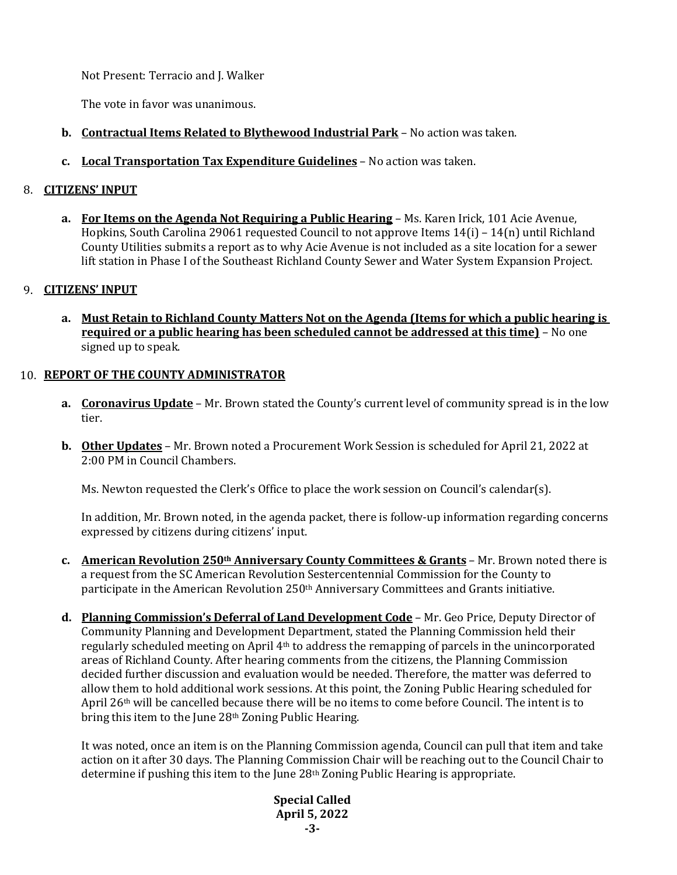Not Present: Terracio and J. Walker

The vote in favor was unanimous.

- **b. Contractual Items Related to Blythewood Industrial Park** No action was taken.
- **c. Local Transportation Tax Expenditure Guidelines** No action was taken.

# 8. **CITIZENS' INPUT**

**a. For Items on the Agenda Not Requiring a Public Hearing** – Ms. Karen Irick, 101 Acie Avenue, Hopkins, South Carolina 29061 requested Council to not approve Items 14(i) – 14(n) until Richland County Utilities submits a report as to why Acie Avenue is not included as a site location for a sewer lift station in Phase I of the Southeast Richland County Sewer and Water System Expansion Project.

# 9. **CITIZENS' INPUT**

**a. Must Retain to Richland County Matters Not on the Agenda (Items for which a public hearing is required or a public hearing has been scheduled cannot be addressed at this time)** – No one signed up to speak.

# 10. **REPORT OF THE COUNTY ADMINISTRATOR**

- **a. Coronavirus Update** Mr. Brown stated the County's current level of community spread is in the low tier.
- **b. Other Updates** Mr. Brown noted a Procurement Work Session is scheduled for April 21, 2022 at 2:00 PM in Council Chambers.

Ms. Newton requested the Clerk's Office to place the work session on Council's calendar(s).

In addition, Mr. Brown noted, in the agenda packet, there is follow-up information regarding concerns expressed by citizens during citizens' input.

- **c. American Revolution 250th Anniversary County Committees & Grants** Mr. Brown noted there is a request from the SC American Revolution Sestercentennial Commission for the County to participate in the American Revolution 250<sup>th</sup> Anniversary Committees and Grants initiative.
- **d. Planning Commission's Deferral of Land Development Code** Mr. Geo Price, Deputy Director of Community Planning and Development Department, stated the Planning Commission held their regularly scheduled meeting on April  $4<sup>th</sup>$  to address the remapping of parcels in the unincorporated areas of Richland County. After hearing comments from the citizens, the Planning Commission decided further discussion and evaluation would be needed. Therefore, the matter was deferred to allow them to hold additional work sessions. At this point, the Zoning Public Hearing scheduled for April  $26<sup>th</sup>$  will be cancelled because there will be no items to come before Council. The intent is to bring this item to the June 28<sup>th</sup> Zoning Public Hearing.

It was noted, once an item is on the Planning Commission agenda, Council can pull that item and take action on it after 30 days. The Planning Commission Chair will be reaching out to the Council Chair to determine if pushing this item to the June 28th Zoning Public Hearing is appropriate.

> **Special Called April 5, 2022 -3-**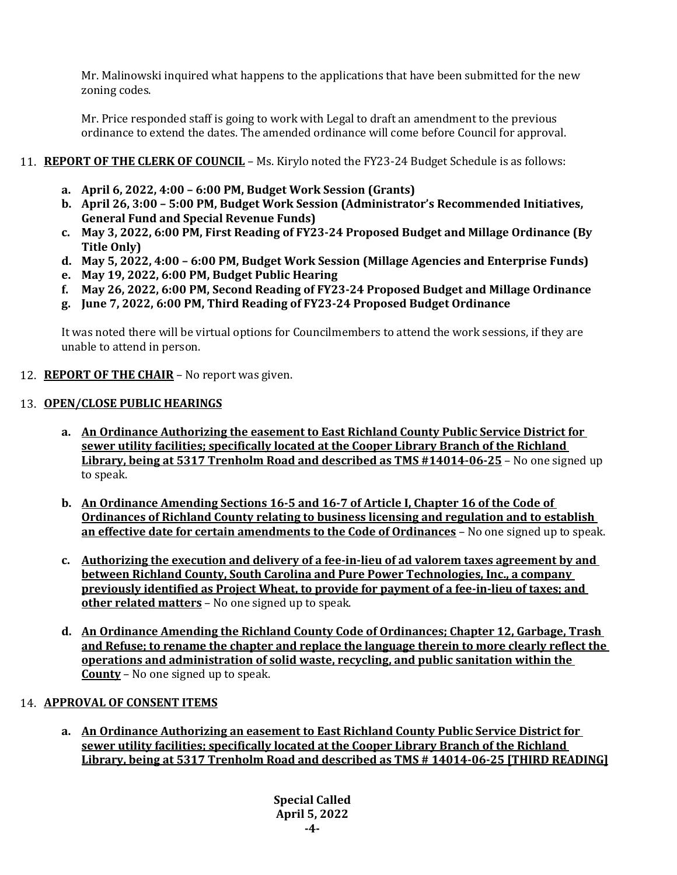Mr. Malinowski inquired what happens to the applications that have been submitted for the new zoning codes.

Mr. Price responded staff is going to work with Legal to draft an amendment to the previous ordinance to extend the dates. The amended ordinance will come before Council for approval.

# 11. **REPORT OF THE CLERK OF COUNCIL** – Ms. Kirylo noted the FY23-24 Budget Schedule is as follows:

- **a. April 6, 2022, 4:00 – 6:00 PM, Budget Work Session (Grants)**
- **b. April 26, 3:00 – 5:00 PM, Budget Work Session (Administrator's Recommended Initiatives, General Fund and Special Revenue Funds)**
- **c. May 3, 2022, 6:00 PM, First Reading of FY23-24 Proposed Budget and Millage Ordinance (By Title Only)**
- **d. May 5, 2022, 4:00 – 6:00 PM, Budget Work Session (Millage Agencies and Enterprise Funds)**
- **e. May 19, 2022, 6:00 PM, Budget Public Hearing**
- **f. May 26, 2022, 6:00 PM, Second Reading of FY23-24 Proposed Budget and Millage Ordinance**
- **g. June 7, 2022, 6:00 PM, Third Reading of FY23-24 Proposed Budget Ordinance**

It was noted there will be virtual options for Councilmembers to attend the work sessions, if they are unable to attend in person.

12. **REPORT OF THE CHAIR** – No report was given.

## 13. **OPEN/CLOSE PUBLIC HEARINGS**

- **a. An Ordinance Authorizing the easement to East Richland County Public Service District for sewer utility facilities; specifically located at the Cooper Library Branch of the Richland Library, being at 5317 Trenholm Road and described as TMS #14014-06-25** – No one signed up to speak.
- **b. An Ordinance Amending Sections 16-5 and 16-7 of Article I, Chapter 16 of the Code of Ordinances of Richland County relating to business licensing and regulation and to establish an effective date for certain amendments to the Code of Ordinances** – No one signed up to speak.
- **c. Authorizing the execution and delivery of a fee-in-lieu of ad valorem taxes agreement by and between Richland County, South Carolina and Pure Power Technologies, Inc., a company previously identified as Project Wheat, to provide for payment of a fee-in-lieu of taxes; and other related matters** – No one signed up to speak.
- **d. An Ordinance Amending the Richland County Code of Ordinances; Chapter 12, Garbage, Trash and Refuse; to rename the chapter and replace the language therein to more clearly reflect the operations and administration of solid waste, recycling, and public sanitation within the County** – No one signed up to speak.

## 14. **APPROVAL OF CONSENT ITEMS**

**a. An Ordinance Authorizing an easement to East Richland County Public Service District for sewer utility facilities; specifically located at the Cooper Library Branch of the Richland Library, being at 5317 Trenholm Road and described as TMS # 14014-06-25 [THIRD READING]**

> **Special Called April 5, 2022 -4-**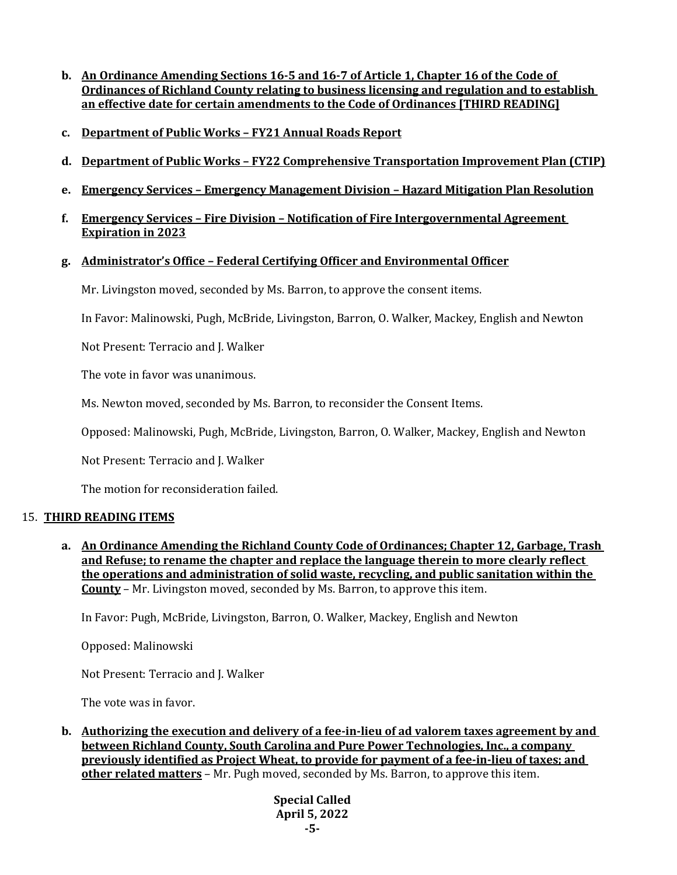- **b. An Ordinance Amending Sections 16-5 and 16-7 of Article 1, Chapter 16 of the Code of Ordinances of Richland County relating to business licensing and regulation and to establish an effective date for certain amendments to the Code of Ordinances [THIRD READING]**
- **c. Department of Public Works – FY21 Annual Roads Report**
- **d. Department of Public Works – FY22 Comprehensive Transportation Improvement Plan (CTIP)**
- **e. Emergency Services – Emergency Management Division – Hazard Mitigation Plan Resolution**
- **f. Emergency Services – Fire Division – Notification of Fire Intergovernmental Agreement Expiration in 2023**

## **g. Administrator's Office – Federal Certifying Officer and Environmental Officer**

Mr. Livingston moved, seconded by Ms. Barron, to approve the consent items.

In Favor: Malinowski, Pugh, McBride, Livingston, Barron, O. Walker, Mackey, English and Newton

Not Present: Terracio and J. Walker

The vote in favor was unanimous.

Ms. Newton moved, seconded by Ms. Barron, to reconsider the Consent Items.

Opposed: Malinowski, Pugh, McBride, Livingston, Barron, O. Walker, Mackey, English and Newton

Not Present: Terracio and J. Walker

The motion for reconsideration failed.

### 15. **THIRD READING ITEMS**

**a. An Ordinance Amending the Richland County Code of Ordinances; Chapter 12, Garbage, Trash and Refuse; to rename the chapter and replace the language therein to more clearly reflect the operations and administration of solid waste, recycling, and public sanitation within the County** – Mr. Livingston moved, seconded by Ms. Barron, to approve this item.

In Favor: Pugh, McBride, Livingston, Barron, O. Walker, Mackey, English and Newton

Opposed: Malinowski

Not Present: Terracio and J. Walker

The vote was in favor.

**b. Authorizing the execution and delivery of a fee-in-lieu of ad valorem taxes agreement by and between Richland County, South Carolina and Pure Power Technologies, Inc., a company previously identified as Project Wheat, to provide for payment of a fee-in-lieu of taxes; and other related matters** – Mr. Pugh moved, seconded by Ms. Barron, to approve this item.

> **Special Called April 5, 2022 -5-**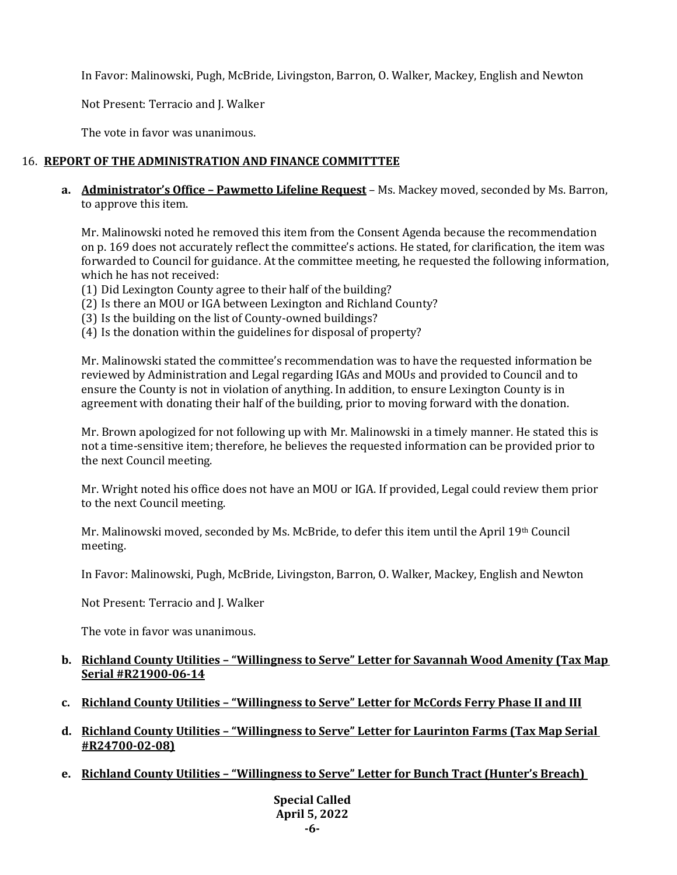In Favor: Malinowski, Pugh, McBride, Livingston, Barron, O. Walker, Mackey, English and Newton

Not Present: Terracio and J. Walker

The vote in favor was unanimous.

# 16. **REPORT OF THE ADMINISTRATION AND FINANCE COMMITTTEE**

**a. Administrator's Office – Pawmetto Lifeline Request** – Ms. Mackey moved, seconded by Ms. Barron, to approve this item.

Mr. Malinowski noted he removed this item from the Consent Agenda because the recommendation on p. 169 does not accurately reflect the committee's actions. He stated, for clarification, the item was forwarded to Council for guidance. At the committee meeting, he requested the following information, which he has not received:

- (1) Did Lexington County agree to their half of the building?
- (2) Is there an MOU or IGA between Lexington and Richland County?
- (3) Is the building on the list of County-owned buildings?
- (4) Is the donation within the guidelines for disposal of property?

Mr. Malinowski stated the committee's recommendation was to have the requested information be reviewed by Administration and Legal regarding IGAs and MOUs and provided to Council and to ensure the County is not in violation of anything. In addition, to ensure Lexington County is in agreement with donating their half of the building, prior to moving forward with the donation.

Mr. Brown apologized for not following up with Mr. Malinowski in a timely manner. He stated this is not a time-sensitive item; therefore, he believes the requested information can be provided prior to the next Council meeting.

Mr. Wright noted his office does not have an MOU or IGA. If provided, Legal could review them prior to the next Council meeting.

Mr. Malinowski moved, seconded by Ms. McBride, to defer this item until the April 19th Council meeting.

In Favor: Malinowski, Pugh, McBride, Livingston, Barron, O. Walker, Mackey, English and Newton

Not Present: Terracio and J. Walker

The vote in favor was unanimous.

## **b. Richland County Utilities – "Willingness to Serve" Letter for Savannah Wood Amenity (Tax Map Serial #R21900-06-14**

- **c. Richland County Utilities – "Willingness to Serve" Letter for McCords Ferry Phase II and III**
- **d. Richland County Utilities – "Willingness to Serve" Letter for Laurinton Farms (Tax Map Serial #R24700-02-08)**
- **e. Richland County Utilities – "Willingness to Serve" Letter for Bunch Tract (Hunter's Breach)**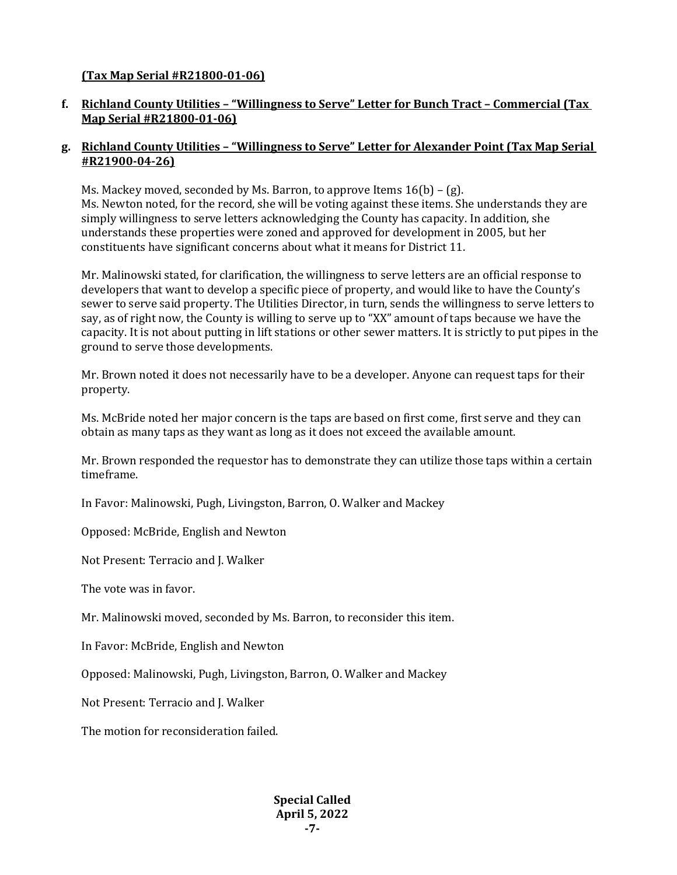# **(Tax Map Serial #R21800-01-06)**

# **f. Richland County Utilities – "Willingness to Serve" Letter for Bunch Tract – Commercial (Tax Map Serial #R21800-01-06)**

# **g. Richland County Utilities – "Willingness to Serve" Letter for Alexander Point (Tax Map Serial #R21900-04-26)**

Ms. Mackey moved, seconded by Ms. Barron, to approve Items  $16(b) - (g)$ . Ms. Newton noted, for the record, she will be voting against these items. She understands they are simply willingness to serve letters acknowledging the County has capacity. In addition, she understands these properties were zoned and approved for development in 2005, but her constituents have significant concerns about what it means for District 11.

Mr. Malinowski stated, for clarification, the willingness to serve letters are an official response to developers that want to develop a specific piece of property, and would like to have the County's sewer to serve said property. The Utilities Director, in turn, sends the willingness to serve letters to say, as of right now, the County is willing to serve up to "XX" amount of taps because we have the capacity. It is not about putting in lift stations or other sewer matters. It is strictly to put pipes in the ground to serve those developments.

Mr. Brown noted it does not necessarily have to be a developer. Anyone can request taps for their property.

Ms. McBride noted her major concern is the taps are based on first come, first serve and they can obtain as many taps as they want as long as it does not exceed the available amount.

Mr. Brown responded the requestor has to demonstrate they can utilize those taps within a certain timeframe.

In Favor: Malinowski, Pugh, Livingston, Barron, O. Walker and Mackey

Opposed: McBride, English and Newton

Not Present: Terracio and J. Walker

The vote was in favor.

Mr. Malinowski moved, seconded by Ms. Barron, to reconsider this item.

In Favor: McBride, English and Newton

Opposed: Malinowski, Pugh, Livingston, Barron, O. Walker and Mackey

Not Present: Terracio and J. Walker

The motion for reconsideration failed.

**Special Called April 5, 2022 -7-**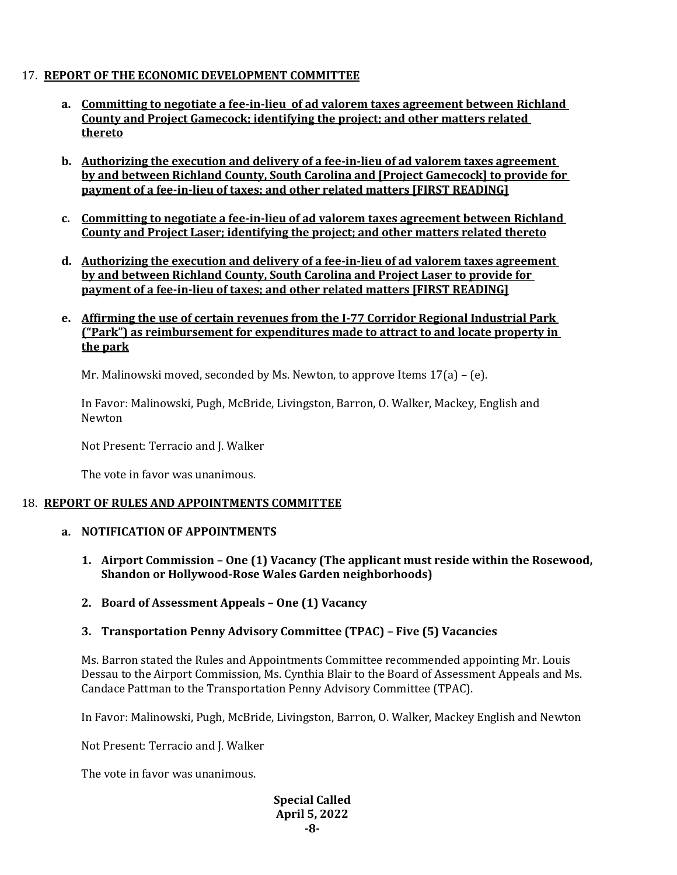# 17. **REPORT OF THE ECONOMIC DEVELOPMENT COMMITTEE**

- **a. Committing to negotiate a fee-in-lieu of ad valorem taxes agreement between Richland County and Project Gamecock; identifying the project; and other matters related thereto**
- **b. Authorizing the execution and delivery of a fee-in-lieu of ad valorem taxes agreement by and between Richland County, South Carolina and [Project Gamecock] to provide for payment of a fee-in-lieu of taxes; and other related matters [FIRST READING]**
- **c. Committing to negotiate a fee-in-lieu of ad valorem taxes agreement between Richland County and Project Laser; identifying the project; and other matters related thereto**
- **d. Authorizing the execution and delivery of a fee-in-lieu of ad valorem taxes agreement by and between Richland County, South Carolina and Project Laser to provide for payment of a fee-in-lieu of taxes; and other related matters [FIRST READING]**
- **e. Affirming the use of certain revenues from the I-77 Corridor Regional Industrial Park ("Park") as reimbursement for expenditures made to attract to and locate property in the park**

Mr. Malinowski moved, seconded by Ms. Newton, to approve Items  $17(a) - (e)$ .

In Favor: Malinowski, Pugh, McBride, Livingston, Barron, O. Walker, Mackey, English and Newton

Not Present: Terracio and J. Walker

The vote in favor was unanimous.

### 18. **REPORT OF RULES AND APPOINTMENTS COMMITTEE**

### **a. NOTIFICATION OF APPOINTMENTS**

- **1. Airport Commission – One (1) Vacancy (The applicant must reside within the Rosewood, Shandon or Hollywood-Rose Wales Garden neighborhoods)**
- **2. Board of Assessment Appeals – One (1) Vacancy**

## **3. Transportation Penny Advisory Committee (TPAC) – Five (5) Vacancies**

Ms. Barron stated the Rules and Appointments Committee recommended appointing Mr. Louis Dessau to the Airport Commission, Ms. Cynthia Blair to the Board of Assessment Appeals and Ms. Candace Pattman to the Transportation Penny Advisory Committee (TPAC).

In Favor: Malinowski, Pugh, McBride, Livingston, Barron, O. Walker, Mackey English and Newton

Not Present: Terracio and J. Walker

The vote in favor was unanimous.

#### **Special Called April 5, 2022 -8-**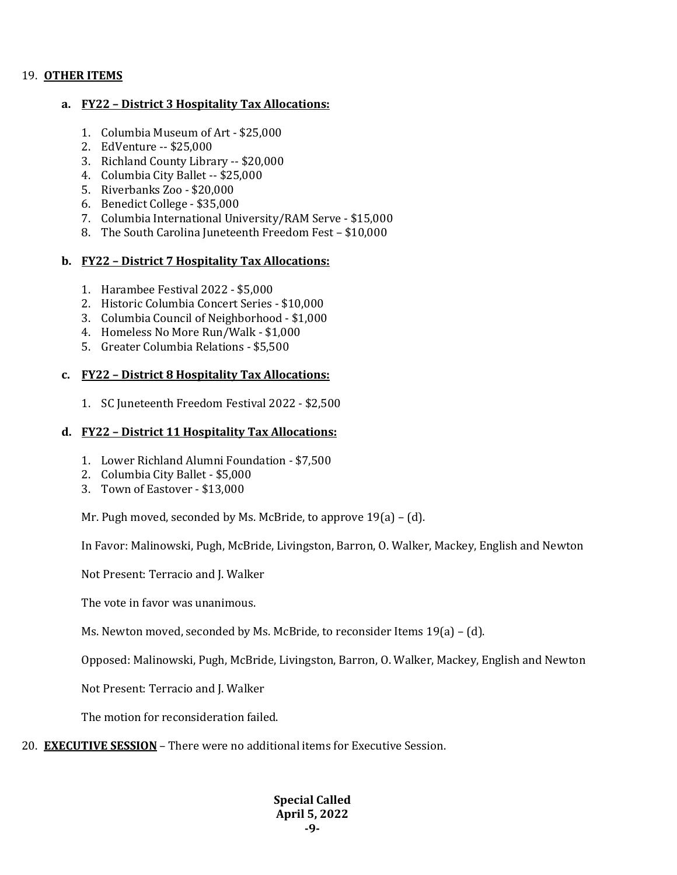## 19. **OTHER ITEMS**

### **a. FY22 – District 3 Hospitality Tax Allocations:**

- 1. Columbia Museum of Art \$25,000
- 2. EdVenture -- \$25,000
- 3. Richland County Library -- \$20,000
- 4. Columbia City Ballet -- \$25,000
- 5. Riverbanks Zoo \$20,000
- 6. Benedict College \$35,000
- 7. Columbia International University/RAM Serve \$15,000
- 8. The South Carolina Juneteenth Freedom Fest \$10,000

## **b. FY22 – District 7 Hospitality Tax Allocations:**

- 1. Harambee Festival 2022 \$5,000
- 2. Historic Columbia Concert Series \$10,000
- 3. Columbia Council of Neighborhood \$1,000
- 4. Homeless No More Run/Walk \$1,000
- 5. Greater Columbia Relations \$5,500

### **c. FY22 – District 8 Hospitality Tax Allocations:**

1. SC Juneteenth Freedom Festival 2022 - \$2,500

## **d. FY22 – District 11 Hospitality Tax Allocations:**

- 1. Lower Richland Alumni Foundation \$7,500
- 2. Columbia City Ballet \$5,000
- 3. Town of Eastover \$13,000

Mr. Pugh moved, seconded by Ms. McBride, to approve 19(a) – (d).

In Favor: Malinowski, Pugh, McBride, Livingston, Barron, O. Walker, Mackey, English and Newton

Not Present: Terracio and J. Walker

The vote in favor was unanimous.

Ms. Newton moved, seconded by Ms. McBride, to reconsider Items 19(a) – (d).

Opposed: Malinowski, Pugh, McBride, Livingston, Barron, O. Walker, Mackey, English and Newton

Not Present: Terracio and J. Walker

The motion for reconsideration failed.

### 20. **EXECUTIVE SESSION** – There were no additional items for Executive Session.

### **Special Called April 5, 2022 -9-**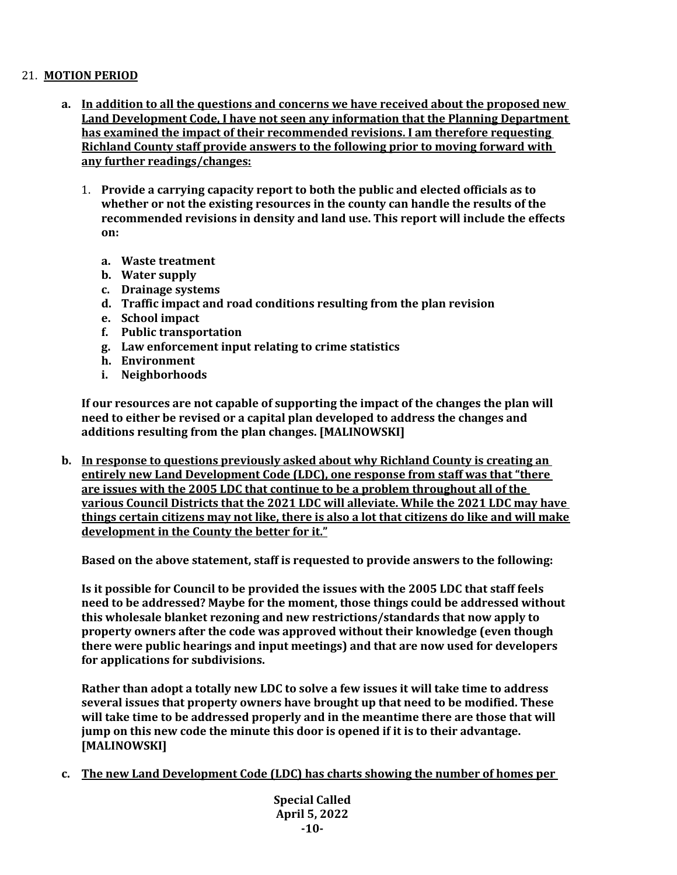## 21. **MOTION PERIOD**

- **a. In addition to all the questions and concerns we have received about the proposed new Land Development Code, I have not seen any information that the Planning Department has examined the impact of their recommended revisions. I am therefore requesting Richland County staff provide answers to the following prior to moving forward with any further readings/changes:**
	- 1. **Provide a carrying capacity report to both the public and elected officials as to whether or not the existing resources in the county can handle the results of the recommended revisions in density and land use. This report will include the effects on:**
		- **a. Waste treatment**
		- **b. Water supply**
		- **c. Drainage systems**
		- **d. Traffic impact and road conditions resulting from the plan revision**
		- **e. School impact**
		- **f. Public transportation**
		- **g. Law enforcement input relating to crime statistics**
		- **h. Environment**
		- **i. Neighborhoods**

**If our resources are not capable of supporting the impact of the changes the plan will need to either be revised or a capital plan developed to address the changes and additions resulting from the plan changes. [MALINOWSKI]**

**b. In response to questions previously asked about why Richland County is creating an entirely new Land Development Code (LDC), one response from staff was that "there are issues with the 2005 LDC that continue to be a problem throughout all of the various Council Districts that the 2021 LDC will alleviate. While the 2021 LDC may have things certain citizens may not like, there is also a lot that citizens do like and will make development in the County the better for it."**

**Based on the above statement, staff is requested to provide answers to the following:**

**Is it possible for Council to be provided the issues with the 2005 LDC that staff feels need to be addressed? Maybe for the moment, those things could be addressed without this wholesale blanket rezoning and new restrictions/standards that now apply to property owners after the code was approved without their knowledge (even though there were public hearings and input meetings) and that are now used for developers for applications for subdivisions.**

**Rather than adopt a totally new LDC to solve a few issues it will take time to address several issues that property owners have brought up that need to be modified. These will take time to be addressed properly and in the meantime there are those that will jump on this new code the minute this door is opened if it is to their advantage. [MALINOWSKI]**

**c. The new Land Development Code (LDC) has charts showing the number of homes per** 

**Special Called April 5, 2022 -10-**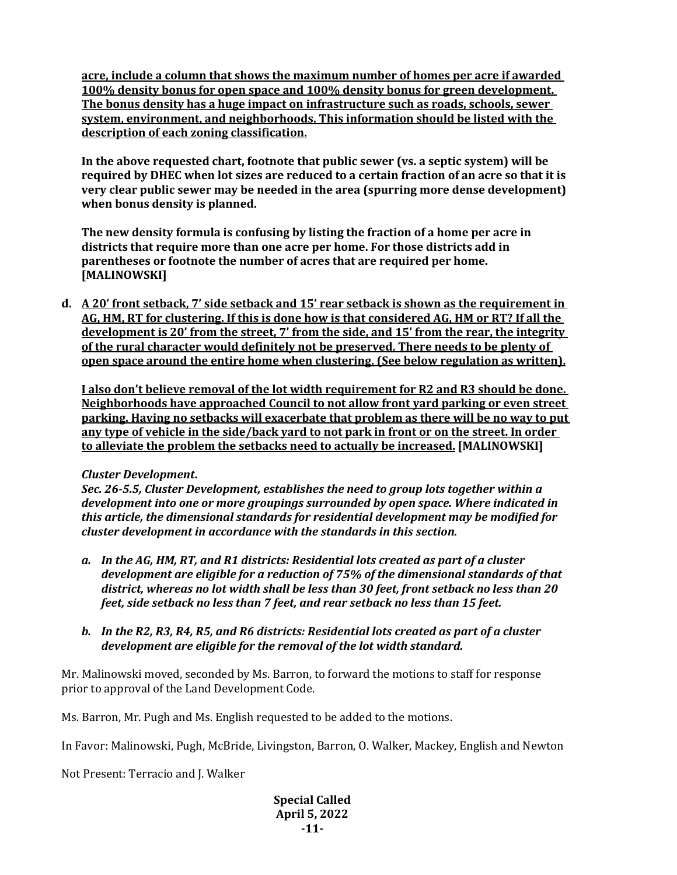**acre, include a column that shows the maximum number of homes per acre if awarded 100% density bonus for open space and 100% density bonus for green development. The bonus density has a huge impact on infrastructure such as roads, schools, sewer system, environment, and neighborhoods. This information should be listed with the description of each zoning classification.**

**In the above requested chart, footnote that public sewer (vs. a septic system) will be required by DHEC when lot sizes are reduced to a certain fraction of an acre so that it is very clear public sewer may be needed in the area (spurring more dense development) when bonus density is planned.**

**The new density formula is confusing by listing the fraction of a home per acre in districts that require more than one acre per home. For those districts add in parentheses or footnote the number of acres that are required per home. [MALINOWSKI]**

**d. A 20' front setback, 7' side setback and 15' rear setback is shown as the requirement in AG, HM, RT for clustering. If this is done how is that considered AG, HM or RT? If all the development is 20' from the street, 7' from the side, and 15' from the rear, the integrity of the rural character would definitely not be preserved. There needs to be plenty of open space around the entire home when clustering. (See below regulation as written).**

**I also don't believe removal of the lot width requirement for R2 and R3 should be done. Neighborhoods have approached Council to not allow front yard parking or even street parking. Having no setbacks will exacerbate that problem as there will be no way to put any type of vehicle in the side/back yard to not park in front or on the street. In order to alleviate the problem the setbacks need to actually be increased. [MALINOWSKI]**

### *Cluster Development***.**

*Sec. 26-5.5, Cluster Development, establishes the need to group lots together within a development into one or more groupings surrounded by open space. Where indicated in this article, the dimensional standards for residential development may be modified for cluster development in accordance with the standards in this section.*

- *a. In the AG, HM, RT, and R1 districts: Residential lots created as part of a cluster development are eligible for a reduction of 75% of the dimensional standards of that district, whereas no lot width shall be less than 30 feet, front setback no less than 20 feet, side setback no less than 7 feet, and rear setback no less than 15 feet.*
- *b. In the R2, R3, R4, R5, and R6 districts: Residential lots created as part of a cluster development are eligible for the removal of the lot width standard.*

Mr. Malinowski moved, seconded by Ms. Barron, to forward the motions to staff for response prior to approval of the Land Development Code.

Ms. Barron, Mr. Pugh and Ms. English requested to be added to the motions.

In Favor: Malinowski, Pugh, McBride, Livingston, Barron, O. Walker, Mackey, English and Newton

Not Present: Terracio and J. Walker